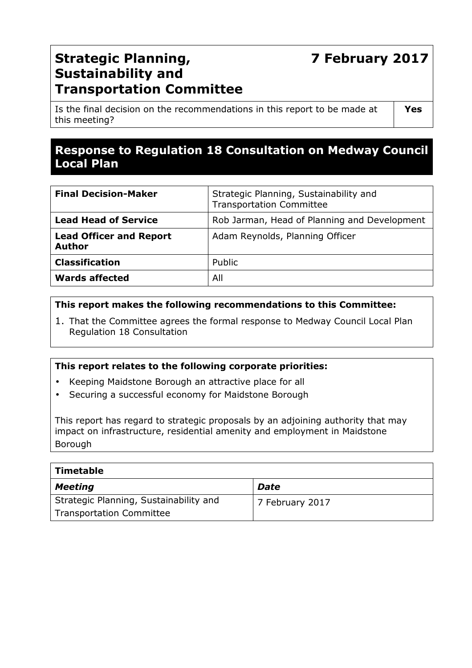# **7 February 2017**

## **Strategic Planning, Sustainability and Transportation Committee**

Is the final decision on the recommendations in this report to be made at this meeting?

## **Response to Regulation 18 Consultation on Medway Council Local Plan**

| <b>Final Decision-Maker</b>                     | Strategic Planning, Sustainability and<br><b>Transportation Committee</b> |
|-------------------------------------------------|---------------------------------------------------------------------------|
| <b>Lead Head of Service</b>                     | Rob Jarman, Head of Planning and Development                              |
| <b>Lead Officer and Report</b><br><b>Author</b> | Adam Reynolds, Planning Officer                                           |
| <b>Classification</b>                           | Public                                                                    |
| <b>Wards affected</b>                           | All                                                                       |

#### **This report makes the following recommendations to this Committee:**

1. That the Committee agrees the formal response to Medway Council Local Plan Regulation 18 Consultation

#### **This report relates to the following corporate priorities:**

- Keeping Maidstone Borough an attractive place for all
- Securing a successful economy for Maidstone Borough

This report has regard to strategic proposals by an adjoining authority that may impact on infrastructure, residential amenity and employment in Maidstone Borough

| <b>Timetable</b>                       |                 |
|----------------------------------------|-----------------|
| <b>Meeting</b>                         | Date            |
| Strategic Planning, Sustainability and | 7 February 2017 |
| <b>Transportation Committee</b>        |                 |

**Yes**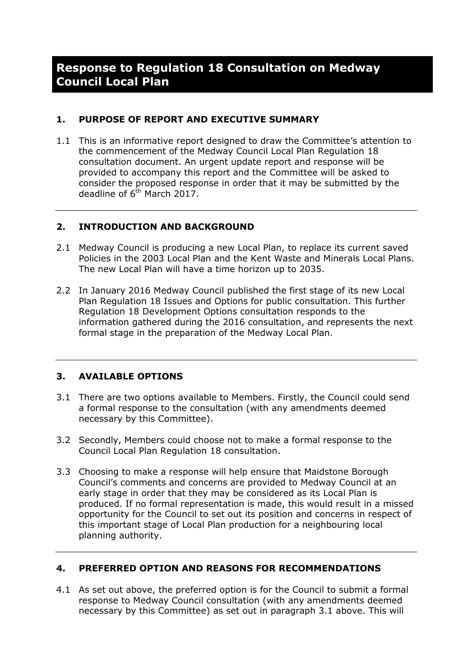## **Response to Regulation 18 Consultation on Medway Council Local Plan**

#### **1. PURPOSE OF REPORT AND EXECUTIVE SUMMARY**

1.1 This is an informative report designed to draw the Committee's attention to the commencement of the Medway Council Local Plan Regulation 18 consultation document. An urgent update report and response will be provided to accompany this report and the Committee will be asked to consider the proposed response in order that it may be submitted by the deadline of 6<sup>th</sup> March 2017.

#### **2. INTRODUCTION AND BACKGROUND**

- 2.1 Medway Council is producing a new Local Plan, to replace its current saved Policies in the 2003 Local Plan and the Kent Waste and Minerals Local Plans. The new Local Plan will have a time horizon up to 2035.
- 2.2 In January 2016 Medway Council published the first stage of its new Local Plan Regulation 18 Issues and Options for public consultation. This further Regulation 18 Development Options consultation responds to the information gathered during the 2016 consultation, and represents the next formal stage in the preparation of the Medway Local Plan.

#### **3. AVAILABLE OPTIONS**

- 3.1 There are two options available to Members. Firstly, the Council could send a formal response to the consultation (with any amendments deemed necessary by this Committee).
- 3.2 Secondly, Members could choose not to make a formal response to the Council Local Plan Regulation 18 consultation.
- 3.3 Choosing to make a response will help ensure that Maidstone Borough Council's comments and concerns are provided to Medway Council at an early stage in order that they may be considered as its Local Plan is produced. If no formal representation is made, this would result in a missed opportunity for the Council to set out its position and concerns in respect of this important stage of Local Plan production for a neighbouring local planning authority.

#### **4. PREFERRED OPTION AND REASONS FOR RECOMMENDATIONS**

4.1 As set out above, the preferred option is for the Council to submit a formal response to Medway Council consultation (with any amendments deemed necessary by this Committee) as set out in paragraph 3.1 above. This will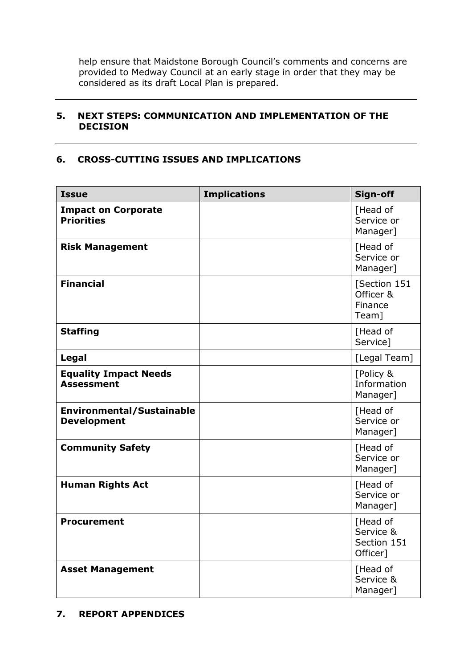help ensure that Maidstone Borough Council's comments and concerns are provided to Medway Council at an early stage in order that they may be considered as its draft Local Plan is prepared.

#### **5. NEXT STEPS: COMMUNICATION AND IMPLEMENTATION OF THE DECISION**

#### **6. CROSS-CUTTING ISSUES AND IMPLICATIONS**

| <b>Issue</b>                                           | <b>Implications</b> | Sign-off                                         |
|--------------------------------------------------------|---------------------|--------------------------------------------------|
| <b>Impact on Corporate</b><br><b>Priorities</b>        |                     | [Head of<br>Service or<br>Manager]               |
| <b>Risk Management</b>                                 |                     | [Head of<br>Service or<br>Manager]               |
| <b>Financial</b>                                       |                     | [Section 151<br>Officer &<br>Finance<br>Team]    |
| <b>Staffing</b>                                        |                     | [Head of<br>Service]                             |
| Legal                                                  |                     | [Legal Team]                                     |
| <b>Equality Impact Needs</b><br><b>Assessment</b>      |                     | [Policy &<br>Information<br>Manager]             |
| <b>Environmental/Sustainable</b><br><b>Development</b> |                     | [Head of<br>Service or<br>Manager]               |
| <b>Community Safety</b>                                |                     | [Head of<br>Service or<br>Manager]               |
| <b>Human Rights Act</b>                                |                     | [Head of<br>Service or<br>Manager]               |
| <b>Procurement</b>                                     |                     | [Head of<br>Service &<br>Section 151<br>Officer] |
| <b>Asset Management</b>                                |                     | [Head of<br>Service &<br>Manager]                |

#### **7. REPORT APPENDICES**